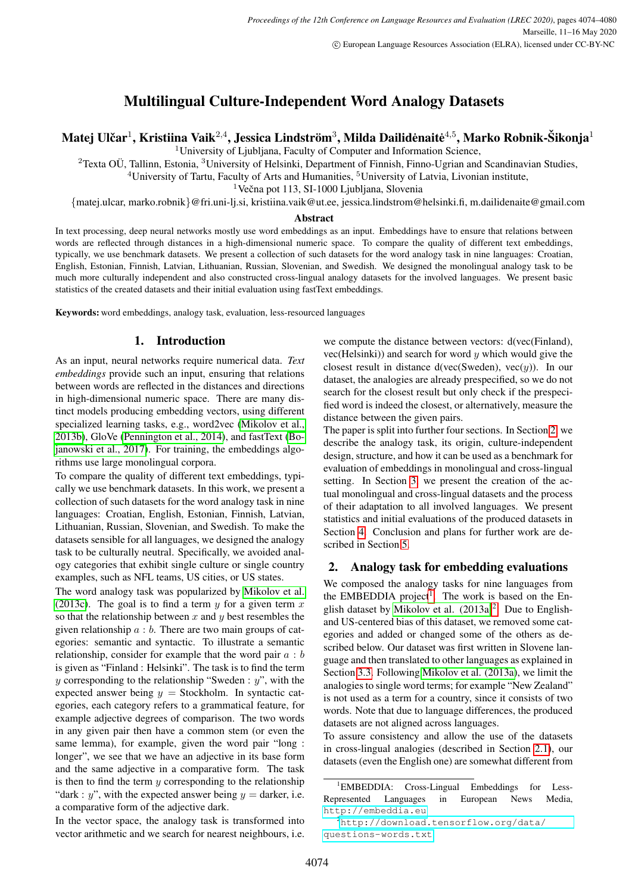# Multilingual Culture-Independent Word Analogy Datasets

Matej Ulčar $^1$ , Kristiina Vaik $^{2,4}$ , Jessica Lindström $^3$ , Milda Dailidėnaitė $^{4,5}$ , Marko Robnik-Šikonja $^1$ 

<sup>1</sup>University of Ljubljana, Faculty of Computer and Information Science,

<sup>2</sup>Texta OÜ, Tallinn, Estonia, <sup>3</sup>University of Helsinki, Department of Finnish, Finno-Ugrian and Scandinavian Studies,

 $4$ University of Tartu, Faculty of Arts and Humanities,  $5$ University of Latvia, Livonian institute,

 $1$ Večna pot 113, SI-1000 Ljubljana, Slovenia

{matej.ulcar, marko.robnik}@fri.uni-lj.si, kristiina.vaik@ut.ee, jessica.lindstrom@helsinki.fi, m.dailidenaite@gmail.com

#### Abstract

In text processing, deep neural networks mostly use word embeddings as an input. Embeddings have to ensure that relations between words are reflected through distances in a high-dimensional numeric space. To compare the quality of different text embeddings, typically, we use benchmark datasets. We present a collection of such datasets for the word analogy task in nine languages: Croatian, English, Estonian, Finnish, Latvian, Lithuanian, Russian, Slovenian, and Swedish. We designed the monolingual analogy task to be much more culturally independent and also constructed cross-lingual analogy datasets for the involved languages. We present basic statistics of the created datasets and their initial evaluation using fastText embeddings.

Keywords: word embeddings, analogy task, evaluation, less-resourced languages

# 1. Introduction

As an input, neural networks require numerical data. *Text embeddings* provide such an input, ensuring that relations between words are reflected in the distances and directions in high-dimensional numeric space. There are many distinct models producing embedding vectors, using different specialized learning tasks, e.g., word2vec [\(Mikolov et al.,](#page-5-0) [2013b\)](#page-5-0), GloVe [\(Pennington et al., 2014\)](#page-5-1), and fastText [\(Bo](#page-5-2)[janowski et al., 2017\)](#page-5-2). For training, the embeddings algorithms use large monolingual corpora.

To compare the quality of different text embeddings, typically we use benchmark datasets. In this work, we present a collection of such datasets for the word analogy task in nine languages: Croatian, English, Estonian, Finnish, Latvian, Lithuanian, Russian, Slovenian, and Swedish. To make the datasets sensible for all languages, we designed the analogy task to be culturally neutral. Specifically, we avoided analogy categories that exhibit single culture or single country examples, such as NFL teams, US cities, or US states.

The word analogy task was popularized by [Mikolov et al.](#page-5-3) [\(2013c\)](#page-5-3). The goal is to find a term  $y$  for a given term  $x$ so that the relationship between  $x$  and  $y$  best resembles the given relationship  $a : b$ . There are two main groups of categories: semantic and syntactic. To illustrate a semantic relationship, consider for example that the word pair  $a : b$ is given as "Finland : Helsinki". The task is to find the term y corresponding to the relationship "Sweden :  $y$ ", with the expected answer being  $y =$  Stockholm. In syntactic categories, each category refers to a grammatical feature, for example adjective degrees of comparison. The two words in any given pair then have a common stem (or even the same lemma), for example, given the word pair "long : longer", we see that we have an adjective in its base form and the same adjective in a comparative form. The task is then to find the term  $y$  corresponding to the relationship "dark : y", with the expected answer being  $y =$  darker, i.e. a comparative form of the adjective dark.

In the vector space, the analogy task is transformed into vector arithmetic and we search for nearest neighbours, i.e. we compute the distance between vectors: d(vec(Finland), vec(Helsinki)) and search for word  $y$  which would give the closest result in distance d(vec(Sweden), vec $(y)$ ). In our dataset, the analogies are already prespecified, so we do not search for the closest result but only check if the prespecified word is indeed the closest, or alternatively, measure the distance between the given pairs.

The paper is split into further four sections. In Section [2,](#page-0-0) we describe the analogy task, its origin, culture-independent design, structure, and how it can be used as a benchmark for evaluation of embeddings in monolingual and cross-lingual setting. In Section [3,](#page-1-0) we present the creation of the actual monolingual and cross-lingual datasets and the process of their adaptation to all involved languages. We present statistics and initial evaluations of the produced datasets in Section [4.](#page-2-0) Conclusion and plans for further work are described in Section [5.](#page-4-0)

# <span id="page-0-0"></span>2. Analogy task for embedding evaluations

We composed the analogy tasks for nine languages from the EMBEDDIA project<sup>[1](#page-0-1)</sup>. The work is based on the English dataset by Mikolov et al.  $(2013a)^2$  $(2013a)^2$  $(2013a)^2$ . Due to Englishand US-centered bias of this dataset, we removed some categories and added or changed some of the others as described below. Our dataset was first written in Slovene language and then translated to other languages as explained in Section [3.3.](#page-2-1) Following [Mikolov et al. \(2013a\)](#page-5-4), we limit the analogies to single word terms; for example "New Zealand" is not used as a term for a country, since it consists of two words. Note that due to language differences, the produced datasets are not aligned across languages.

To assure consistency and allow the use of the datasets in cross-lingual analogies (described in Section [2.1\)](#page-1-1), our datasets (even the English one) are somewhat different from

<span id="page-0-1"></span><sup>&</sup>lt;sup>1</sup>EMBEDDIA: Cross-Lingual Embeddings for Less-Represented Languages in European News Media, <http://embeddia.eu>

<span id="page-0-2"></span><sup>2</sup>[http://download.tensorflow.org/data/](http://download.tensorflow.org/data/questions-words.txt) [questions-words.txt](http://download.tensorflow.org/data/questions-words.txt)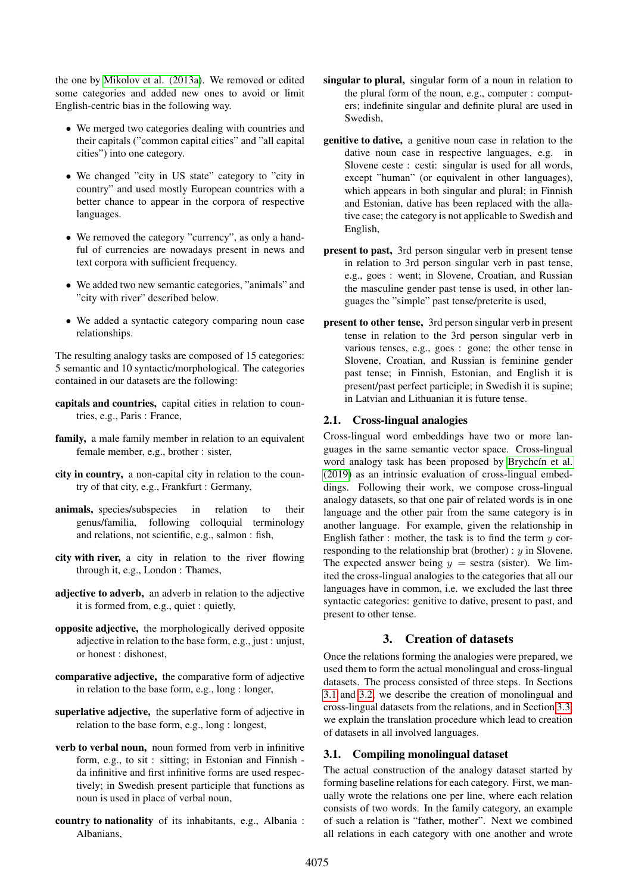the one by [Mikolov et al. \(2013a\)](#page-5-4). We removed or edited some categories and added new ones to avoid or limit English-centric bias in the following way.

- We merged two categories dealing with countries and their capitals ("common capital cities" and "all capital cities") into one category.
- We changed "city in US state" category to "city in country" and used mostly European countries with a better chance to appear in the corpora of respective languages.
- We removed the category "currency", as only a handful of currencies are nowadays present in news and text corpora with sufficient frequency.
- We added two new semantic categories, "animals" and "city with river" described below.
- We added a syntactic category comparing noun case relationships.

The resulting analogy tasks are composed of 15 categories: 5 semantic and 10 syntactic/morphological. The categories contained in our datasets are the following:

- capitals and countries, capital cities in relation to countries, e.g., Paris : France,
- family, a male family member in relation to an equivalent female member, e.g., brother : sister,
- city in country, a non-capital city in relation to the country of that city, e.g., Frankfurt : Germany,
- animals, species/subspecies in relation to their genus/familia, following colloquial terminology and relations, not scientific, e.g., salmon : fish,
- city with river, a city in relation to the river flowing through it, e.g., London : Thames,
- adjective to adverb, an adverb in relation to the adjective it is formed from, e.g., quiet : quietly,
- opposite adjective, the morphologically derived opposite adjective in relation to the base form, e.g., just : unjust, or honest : dishonest,
- comparative adjective, the comparative form of adjective in relation to the base form, e.g., long : longer,
- superlative adjective, the superlative form of adjective in relation to the base form, e.g., long : longest,
- verb to verbal noun, noun formed from verb in infinitive form, e.g., to sit : sitting; in Estonian and Finnish da infinitive and first infinitive forms are used respectively; in Swedish present participle that functions as noun is used in place of verbal noun,
- country to nationality of its inhabitants, e.g., Albania : Albanians,
- singular to plural, singular form of a noun in relation to the plural form of the noun, e.g., computer : computers; indefinite singular and definite plural are used in Swedish,
- genitive to dative, a genitive noun case in relation to the dative noun case in respective languages, e.g. in Slovene ceste : cesti: singular is used for all words, except "human" (or equivalent in other languages), which appears in both singular and plural; in Finnish and Estonian, dative has been replaced with the allative case; the category is not applicable to Swedish and English,
- present to past, 3rd person singular verb in present tense in relation to 3rd person singular verb in past tense, e.g., goes : went; in Slovene, Croatian, and Russian the masculine gender past tense is used, in other languages the "simple" past tense/preterite is used,
- present to other tense, 3rd person singular verb in present tense in relation to the 3rd person singular verb in various tenses, e.g., goes : gone; the other tense in Slovene, Croatian, and Russian is feminine gender past tense; in Finnish, Estonian, and English it is present/past perfect participle; in Swedish it is supine; in Latvian and Lithuanian it is future tense.

#### <span id="page-1-1"></span>2.1. Cross-lingual analogies

Cross-lingual word embeddings have two or more languages in the same semantic vector space. Cross-lingual word analogy task has been proposed by Brychcín et al. [\(2019\)](#page-5-5) as an intrinsic evaluation of cross-lingual embeddings. Following their work, we compose cross-lingual analogy datasets, so that one pair of related words is in one language and the other pair from the same category is in another language. For example, given the relationship in English father : mother, the task is to find the term  $y$  corresponding to the relationship brat (brother) :  $y$  in Slovene. The expected answer being  $y = \text{sestra}$  (sister). We limited the cross-lingual analogies to the categories that all our languages have in common, i.e. we excluded the last three syntactic categories: genitive to dative, present to past, and present to other tense.

#### 3. Creation of datasets

<span id="page-1-0"></span>Once the relations forming the analogies were prepared, we used them to form the actual monolingual and cross-lingual datasets. The process consisted of three steps. In Sections [3.1](#page-1-2) and [3.2,](#page-2-2) we describe the creation of monolingual and cross-lingual datasets from the relations, and in Section [3.3,](#page-2-1) we explain the translation procedure which lead to creation of datasets in all involved languages.

#### <span id="page-1-2"></span>3.1. Compiling monolingual dataset

The actual construction of the analogy dataset started by forming baseline relations for each category. First, we manually wrote the relations one per line, where each relation consists of two words. In the family category, an example of such a relation is "father, mother". Next we combined all relations in each category with one another and wrote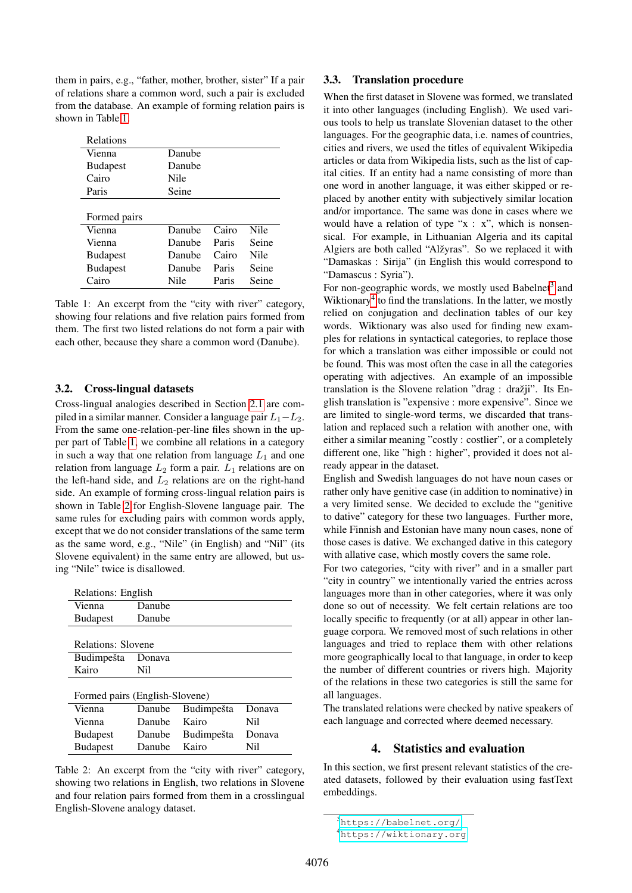them in pairs, e.g., "father, mother, brother, sister" If a pair of relations share a common word, such a pair is excluded from the database. An example of forming relation pairs is shown in Table [1.](#page-2-3)

| Relations       |        |       |             |
|-----------------|--------|-------|-------------|
| Vienna          | Danube |       |             |
| <b>Budapest</b> | Danube |       |             |
| Cairo           | Nile   |       |             |
| Paris           | Seine  |       |             |
|                 |        |       |             |
| Formed pairs    |        |       |             |
| Vienna          | Danube | Cairo | <b>Nile</b> |
| Vienna          | Danube | Paris | Seine       |
| <b>Budapest</b> | Danube | Cairo | Nile        |
| <b>Budapest</b> | Danube | Paris | Seine       |
| 'airo           | Nile   | Paris | Seine       |

<span id="page-2-3"></span>Table 1: An excerpt from the "city with river" category, showing four relations and five relation pairs formed from them. The first two listed relations do not form a pair with each other, because they share a common word (Danube).

#### <span id="page-2-2"></span>3.2. Cross-lingual datasets

Cross-lingual analogies described in Section [2.1](#page-1-1) are compiled in a similar manner. Consider a language pair  $L_1-L_2$ . From the same one-relation-per-line files shown in the upper part of Table [1,](#page-2-3) we combine all relations in a category in such a way that one relation from language  $L_1$  and one relation from language  $L_2$  form a pair.  $L_1$  relations are on the left-hand side, and  $L_2$  relations are on the right-hand side. An example of forming cross-lingual relation pairs is shown in Table [2](#page-2-4) for English-Slovene language pair. The same rules for excluding pairs with common words apply, except that we do not consider translations of the same term as the same word, e.g., "Nile" (in English) and "Nil" (its Slovene equivalent) in the same entry are allowed, but using "Nile" twice is disallowed.

| Relations: English             |         |                   |        |  |  |  |
|--------------------------------|---------|-------------------|--------|--|--|--|
| Vienna                         | Danube  |                   |        |  |  |  |
| <b>Budapest</b>                | Danube  |                   |        |  |  |  |
|                                |         |                   |        |  |  |  |
| Relations: Slovene             |         |                   |        |  |  |  |
| Budimpešta                     | Donava  |                   |        |  |  |  |
| Kairo                          | Nil     |                   |        |  |  |  |
|                                |         |                   |        |  |  |  |
| Formed pairs (English-Slovene) |         |                   |        |  |  |  |
| Vienna                         | Danube  | <b>Budimpešta</b> | Donava |  |  |  |
| Vienna                         | Danube  | Kairo             | Ni1    |  |  |  |
| <b>Budapest</b>                | Danube: | Budimpešta        | Donava |  |  |  |
| <b>Budapest</b>                | Danube  | Kairo             | Ni1    |  |  |  |

<span id="page-2-4"></span><span id="page-2-1"></span>Table 2: An excerpt from the "city with river" category, showing two relations in English, two relations in Slovene and four relation pairs formed from them in a crosslingual English-Slovene analogy dataset.

# 3.3. Translation procedure

When the first dataset in Slovene was formed, we translated it into other languages (including English). We used various tools to help us translate Slovenian dataset to the other languages. For the geographic data, i.e. names of countries, cities and rivers, we used the titles of equivalent Wikipedia articles or data from Wikipedia lists, such as the list of capital cities. If an entity had a name consisting of more than one word in another language, it was either skipped or replaced by another entity with subjectively similar location and/or importance. The same was done in cases where we would have a relation of type " $x : x$ ", which is nonsensical. For example, in Lithuanian Algeria and its capital Algiers are both called "Alžyras". So we replaced it with "Damaskas : Sirija" (in English this would correspond to "Damascus : Syria").

For non-geographic words, we mostly used Babelnet<sup>[3](#page-2-5)</sup> and Wiktionary<sup>[4](#page-2-6)</sup> to find the translations. In the latter, we mostly relied on conjugation and declination tables of our key words. Wiktionary was also used for finding new examples for relations in syntactical categories, to replace those for which a translation was either impossible or could not be found. This was most often the case in all the categories operating with adjectives. An example of an impossible translation is the Slovene relation "drag : dražji". Its English translation is "expensive : more expensive". Since we are limited to single-word terms, we discarded that translation and replaced such a relation with another one, with either a similar meaning "costly : costlier", or a completely different one, like "high : higher", provided it does not already appear in the dataset.

English and Swedish languages do not have noun cases or rather only have genitive case (in addition to nominative) in a very limited sense. We decided to exclude the "genitive to dative" category for these two languages. Further more, while Finnish and Estonian have many noun cases, none of those cases is dative. We exchanged dative in this category with allative case, which mostly covers the same role.

For two categories, "city with river" and in a smaller part "city in country" we intentionally varied the entries across languages more than in other categories, where it was only done so out of necessity. We felt certain relations are too locally specific to frequently (or at all) appear in other language corpora. We removed most of such relations in other languages and tried to replace them with other relations more geographically local to that language, in order to keep the number of different countries or rivers high. Majority of the relations in these two categories is still the same for all languages.

<span id="page-2-0"></span>The translated relations were checked by native speakers of each language and corrected where deemed necessary.

### 4. Statistics and evaluation

In this section, we first present relevant statistics of the created datasets, followed by their evaluation using fastText embeddings.

<span id="page-2-5"></span><sup>3</sup><https://babelnet.org/>

<span id="page-2-6"></span><sup>4</sup><https://wiktionary.org>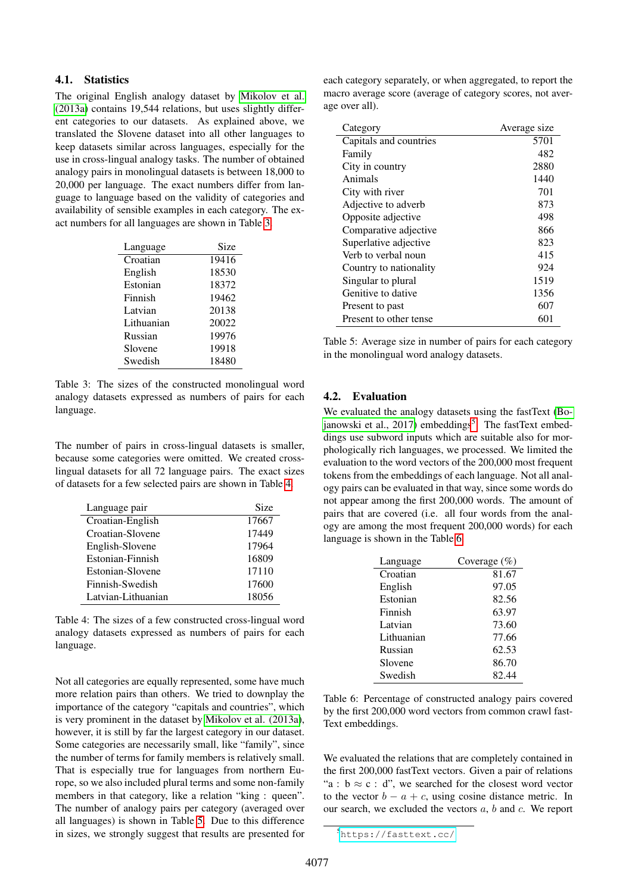### 4.1. Statistics

The original English analogy dataset by [Mikolov et al.](#page-5-4) [\(2013a\)](#page-5-4) contains 19,544 relations, but uses slightly different categories to our datasets. As explained above, we translated the Slovene dataset into all other languages to keep datasets similar across languages, especially for the use in cross-lingual analogy tasks. The number of obtained analogy pairs in monolingual datasets is between 18,000 to 20,000 per language. The exact numbers differ from language to language based on the validity of categories and availability of sensible examples in each category. The exact numbers for all languages are shown in Table [3.](#page-3-0)

| Language   | Size  |
|------------|-------|
| Croatian   | 19416 |
| English    | 18530 |
| Estonian   | 18372 |
| Finnish    | 19462 |
| Latvian    | 20138 |
| Lithuanian | 20022 |
| Russian    | 19976 |
| Slovene    | 19918 |
| Swedish    | 18480 |

<span id="page-3-0"></span>Table 3: The sizes of the constructed monolingual word analogy datasets expressed as numbers of pairs for each language.

The number of pairs in cross-lingual datasets is smaller, because some categories were omitted. We created crosslingual datasets for all 72 language pairs. The exact sizes of datasets for a few selected pairs are shown in Table [4.](#page-3-1)

| Language pair      | Size  |
|--------------------|-------|
| Croatian-English   | 17667 |
| Croatian-Slovene   | 17449 |
| English-Slovene    | 17964 |
| Estonian-Finnish   | 16809 |
| Estonian-Slovene   | 17110 |
| Finnish-Swedish    | 17600 |
| Latvian-Lithuanian | 18056 |
|                    |       |

<span id="page-3-1"></span>Table 4: The sizes of a few constructed cross-lingual word analogy datasets expressed as numbers of pairs for each language.

Not all categories are equally represented, some have much more relation pairs than others. We tried to downplay the importance of the category "capitals and countries", which is very prominent in the dataset by [Mikolov et al. \(2013a\)](#page-5-4), however, it is still by far the largest category in our dataset. Some categories are necessarily small, like "family", since the number of terms for family members is relatively small. That is especially true for languages from northern Europe, so we also included plural terms and some non-family members in that category, like a relation "king : queen". The number of analogy pairs per category (averaged over all languages) is shown in Table [5.](#page-3-2) Due to this difference in sizes, we strongly suggest that results are presented for

each category separately, or when aggregated, to report the macro average score (average of category scores, not average over all).

| Category               | Average size |
|------------------------|--------------|
| Capitals and countries | 5701         |
| Family                 | 482          |
| City in country        | 2880         |
| Animals                | 1440         |
| City with river        | 701          |
| Adjective to adverb    | 873          |
| Opposite adjective     | 498          |
| Comparative adjective  | 866          |
| Superlative adjective  | 823          |
| Verb to verbal noun    | 415          |
| Country to nationality | 924          |
| Singular to plural     | 1519         |
| Genitive to dative     | 1356         |
| Present to past        | 607          |
| Present to other tense | 601          |

<span id="page-3-2"></span>Table 5: Average size in number of pairs for each category in the monolingual word analogy datasets.

#### 4.2. Evaluation

We evaluated the analogy datasets using the fastText [\(Bo](#page-5-2)[janowski et al., 2017\)](#page-5-2) embeddings<sup>[5](#page-3-3)</sup>. The fastText embeddings use subword inputs which are suitable also for morphologically rich languages, we processed. We limited the evaluation to the word vectors of the 200,000 most frequent tokens from the embeddings of each language. Not all analogy pairs can be evaluated in that way, since some words do not appear among the first 200,000 words. The amount of pairs that are covered (i.e. all four words from the analogy are among the most frequent 200,000 words) for each language is shown in the Table [6.](#page-3-4)

| Language   | Coverage $(\%)$ |
|------------|-----------------|
| Croatian   | 81.67           |
| English    | 97.05           |
| Estonian   | 82.56           |
| Finnish    | 63.97           |
| Latvian    | 73.60           |
| Lithuanian | 77.66           |
| Russian    | 62.53           |
| Slovene    | 86.70           |
| Swedish    | 82.44           |

<span id="page-3-4"></span>Table 6: Percentage of constructed analogy pairs covered by the first 200,000 word vectors from common crawl fast-Text embeddings.

We evaluated the relations that are completely contained in the first 200,000 fastText vectors. Given a pair of relations "a :  $b \approx c : d$ ", we searched for the closest word vector to the vector  $b - a + c$ , using cosine distance metric. In our search, we excluded the vectors  $a, b$  and  $c$ . We report

<span id="page-3-3"></span><sup>5</sup><https://fasttext.cc/>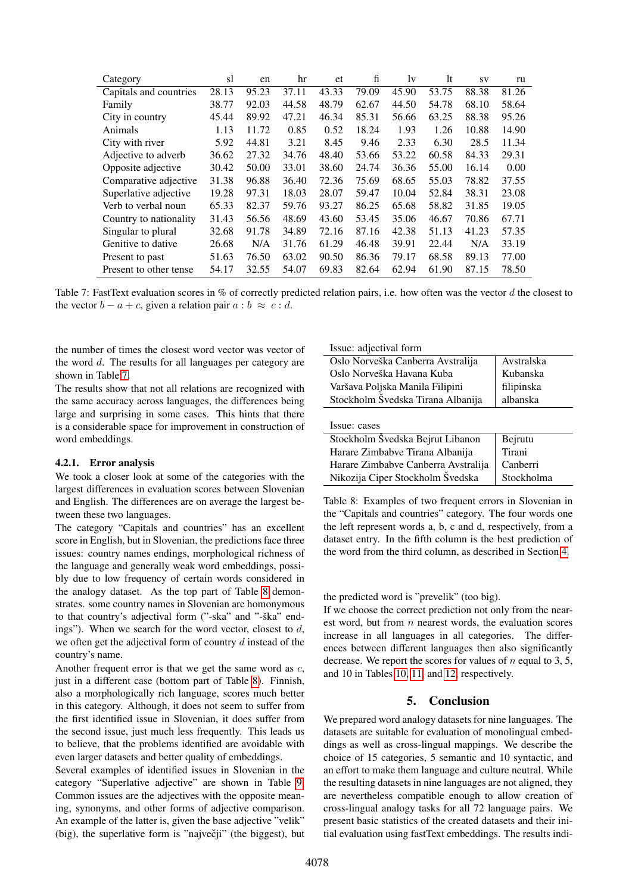| Category               | sl    | en    | hr    | et    | fi    | 1v    | <sup>1</sup> t | SV    | ru    |
|------------------------|-------|-------|-------|-------|-------|-------|----------------|-------|-------|
| Capitals and countries | 28.13 | 95.23 | 37.11 | 43.33 | 79.09 | 45.90 | 53.75          | 88.38 | 81.26 |
| Family                 | 38.77 | 92.03 | 44.58 | 48.79 | 62.67 | 44.50 | 54.78          | 68.10 | 58.64 |
| City in country        | 45.44 | 89.92 | 47.21 | 46.34 | 85.31 | 56.66 | 63.25          | 88.38 | 95.26 |
| Animals                | 1.13  | 11.72 | 0.85  | 0.52  | 18.24 | 1.93  | 1.26           | 10.88 | 14.90 |
| City with river        | 5.92  | 44.81 | 3.21  | 8.45  | 9.46  | 2.33  | 6.30           | 28.5  | 11.34 |
| Adjective to adverb    | 36.62 | 27.32 | 34.76 | 48.40 | 53.66 | 53.22 | 60.58          | 84.33 | 29.31 |
| Opposite adjective     | 30.42 | 50.00 | 33.01 | 38.60 | 24.74 | 36.36 | 55.00          | 16.14 | 0.00  |
| Comparative adjective  | 31.38 | 96.88 | 36.40 | 72.36 | 75.69 | 68.65 | 55.03          | 78.82 | 37.55 |
| Superlative adjective  | 19.28 | 97.31 | 18.03 | 28.07 | 59.47 | 10.04 | 52.84          | 38.31 | 23.08 |
| Verb to verbal noun    | 65.33 | 82.37 | 59.76 | 93.27 | 86.25 | 65.68 | 58.82          | 31.85 | 19.05 |
| Country to nationality | 31.43 | 56.56 | 48.69 | 43.60 | 53.45 | 35.06 | 46.67          | 70.86 | 67.71 |
| Singular to plural     | 32.68 | 91.78 | 34.89 | 72.16 | 87.16 | 42.38 | 51.13          | 41.23 | 57.35 |
| Genitive to dative     | 26.68 | N/A   | 31.76 | 61.29 | 46.48 | 39.91 | 22.44          | N/A   | 33.19 |
| Present to past        | 51.63 | 76.50 | 63.02 | 90.50 | 86.36 | 79.17 | 68.58          | 89.13 | 77.00 |
| Present to other tense | 54.17 | 32.55 | 54.07 | 69.83 | 82.64 | 62.94 | 61.90          | 87.15 | 78.50 |

<span id="page-4-1"></span>Table 7: FastText evaluation scores in % of correctly predicted relation pairs, i.e. how often was the vector d the closest to the vector  $b - a + c$ , given a relation pair  $a : b \approx c : d$ .

the number of times the closest word vector was vector of the word d. The results for all languages per category are shown in Table [7.](#page-4-1)

The results show that not all relations are recognized with the same accuracy across languages, the differences being large and surprising in some cases. This hints that there is a considerable space for improvement in construction of word embeddings.

#### 4.2.1. Error analysis

We took a closer look at some of the categories with the largest differences in evaluation scores between Slovenian and English. The differences are on average the largest between these two languages.

The category "Capitals and countries" has an excellent score in English, but in Slovenian, the predictions face three issues: country names endings, morphological richness of the language and generally weak word embeddings, possibly due to low frequency of certain words considered in the analogy dataset. As the top part of Table [8](#page-4-2) demonstrates. some country names in Slovenian are homonymous to that country's adjectival form ("-ska" and "-ška" endings"). When we search for the word vector, closest to  $d$ , we often get the adjectival form of country  $d$  instead of the country's name.

Another frequent error is that we get the same word as c, just in a different case (bottom part of Table [8\)](#page-4-2). Finnish, also a morphologically rich language, scores much better in this category. Although, it does not seem to suffer from the first identified issue in Slovenian, it does suffer from the second issue, just much less frequently. This leads us to believe, that the problems identified are avoidable with even larger datasets and better quality of embeddings.

Several examples of identified issues in Slovenian in the category "Superlative adjective" are shown in Table [9.](#page-5-6) Common issues are the adjectives with the opposite meaning, synonyms, and other forms of adjective comparison. An example of the latter is, given the base adjective "velik" (big), the superlative form is "največji" (the biggest), but Issue: adjectival form

| Oslo Norveška Canberra Avstralija | Avstralska |
|-----------------------------------|------------|
| Oslo Norveška Havana Kuba         | Kubanska   |
| Varšava Poljska Manila Filipini   | filipinska |
| Stockholm Svedska Tirana Albanija | albanska   |
|                                   |            |
| Issue: cases                      |            |
| Stockholm Švedska Reirut Libanon  | Reimtu     |

| Stockholm Švedska Bejrut Libanon    | Bejrutu    |
|-------------------------------------|------------|
| Harare Zimbabve Tirana Albanija     | Tirani     |
| Harare Zimbabve Canberra Avstralija | Canberri   |
| Nikozija Ciper Stockholm Švedska    | Stockholma |

<span id="page-4-2"></span>Table 8: Examples of two frequent errors in Slovenian in the "Capitals and countries" category. The four words one the left represent words a, b, c and d, respectively, from a dataset entry. In the fifth column is the best prediction of the word from the third column, as described in Section [4.](#page-2-0)

#### the predicted word is "prevelik" (too big).

If we choose the correct prediction not only from the nearest word, but from  $n$  nearest words, the evaluation scores increase in all languages in all categories. The differences between different languages then also significantly decrease. We report the scores for values of  $n$  equal to 3, 5, and 10 in Tables [10,](#page-6-0) [11,](#page-6-1) and [12,](#page-6-2) respectively.

# 5. Conclusion

<span id="page-4-0"></span>We prepared word analogy datasets for nine languages. The datasets are suitable for evaluation of monolingual embeddings as well as cross-lingual mappings. We describe the choice of 15 categories, 5 semantic and 10 syntactic, and an effort to make them language and culture neutral. While the resulting datasets in nine languages are not aligned, they are nevertheless compatible enough to allow creation of cross-lingual analogy tasks for all 72 language pairs. We present basic statistics of the created datasets and their initial evaluation using fastText embeddings. The results indi-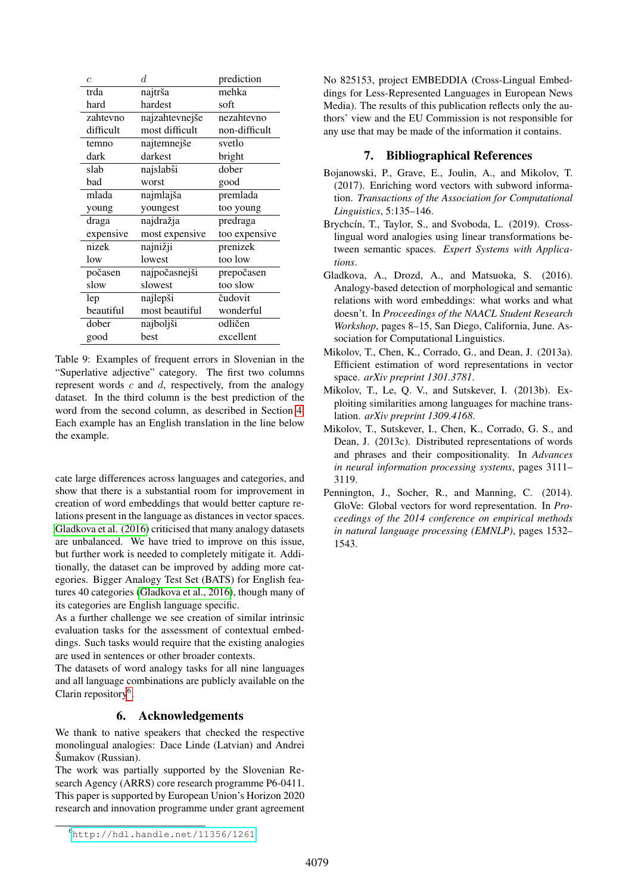| $\overline{c}$ | d              | prediction    |
|----------------|----------------|---------------|
| trda           | najtrša        | mehka         |
| hard           | hardest        | soft          |
| zahtevno       | najzahtevnejše | nezahtevno    |
| difficult      | most difficult | non-difficult |
| temno          | najtemnejše    | svetlo        |
| dark           | darkest        | bright        |
| slab           | najslabši      | dober         |
| bad            | worst          | good          |
| mlada          | najmlajša      | premlada      |
| young          | youngest       | too young     |
| draga          | najdražja      | predraga      |
| expensive      | most expensive | too expensive |
| nizek          | najnižji       | prenizek      |
| low            | lowest         | too low       |
| počasen        | najpočasnejši  | prepočasen    |
| slow           | slowest        | too slow      |
| lep            | najlepši       | čudovit       |
| beautiful      | most beautiful | wonderful     |
| dober          | najboljši      | odličen       |
| good           | best           | excellent     |
|                |                |               |

<span id="page-5-6"></span>Table 9: Examples of frequent errors in Slovenian in the "Superlative adjective" category. The first two columns represent words  $c$  and  $d$ , respectively, from the analogy dataset. In the third column is the best prediction of the word from the second column, as described in Section [4.](#page-2-0) Each example has an English translation in the line below the example.

cate large differences across languages and categories, and show that there is a substantial room for improvement in creation of word embeddings that would better capture relations present in the language as distances in vector spaces. [Gladkova et al. \(2016\)](#page-5-7) criticised that many analogy datasets are unbalanced. We have tried to improve on this issue, but further work is needed to completely mitigate it. Additionally, the dataset can be improved by adding more categories. Bigger Analogy Test Set (BATS) for English features 40 categories [\(Gladkova et al., 2016\)](#page-5-7), though many of its categories are English language specific.

As a further challenge we see creation of similar intrinsic evaluation tasks for the assessment of contextual embeddings. Such tasks would require that the existing analogies are used in sentences or other broader contexts.

The datasets of word analogy tasks for all nine languages and all language combinations are publicly available on the Clarin repository<sup>[6](#page-5-8)</sup>.

# 6. Acknowledgements

We thank to native speakers that checked the respective monolingual analogies: Dace Linde (Latvian) and Andrei Šumakov (Russian).

The work was partially supported by the Slovenian Research Agency (ARRS) core research programme P6-0411. This paper is supported by European Union's Horizon 2020 research and innovation programme under grant agreement No 825153, project EMBEDDIA (Cross-Lingual Embeddings for Less-Represented Languages in European News Media). The results of this publication reflects only the authors' view and the EU Commission is not responsible for any use that may be made of the information it contains.

# 7. Bibliographical References

- <span id="page-5-2"></span>Bojanowski, P., Grave, E., Joulin, A., and Mikolov, T. (2017). Enriching word vectors with subword information. *Transactions of the Association for Computational Linguistics*, 5:135–146.
- <span id="page-5-5"></span>Brychcín, T., Taylor, S., and Svoboda, L. (2019). Crosslingual word analogies using linear transformations between semantic spaces. *Expert Systems with Applications*.
- <span id="page-5-7"></span>Gladkova, A., Drozd, A., and Matsuoka, S. (2016). Analogy-based detection of morphological and semantic relations with word embeddings: what works and what doesn't. In *Proceedings of the NAACL Student Research Workshop*, pages 8–15, San Diego, California, June. Association for Computational Linguistics.
- <span id="page-5-4"></span>Mikolov, T., Chen, K., Corrado, G., and Dean, J. (2013a). Efficient estimation of word representations in vector space. *arXiv preprint 1301.3781*.
- <span id="page-5-0"></span>Mikolov, T., Le, Q. V., and Sutskever, I. (2013b). Exploiting similarities among languages for machine translation. *arXiv preprint 1309.4168*.
- <span id="page-5-3"></span>Mikolov, T., Sutskever, I., Chen, K., Corrado, G. S., and Dean, J. (2013c). Distributed representations of words and phrases and their compositionality. In *Advances in neural information processing systems*, pages 3111– 3119.
- <span id="page-5-1"></span>Pennington, J., Socher, R., and Manning, C. (2014). GloVe: Global vectors for word representation. In *Proceedings of the 2014 conference on empirical methods in natural language processing (EMNLP)*, pages 1532– 1543.

<span id="page-5-8"></span><sup>6</sup><http://hdl.handle.net/11356/1261>